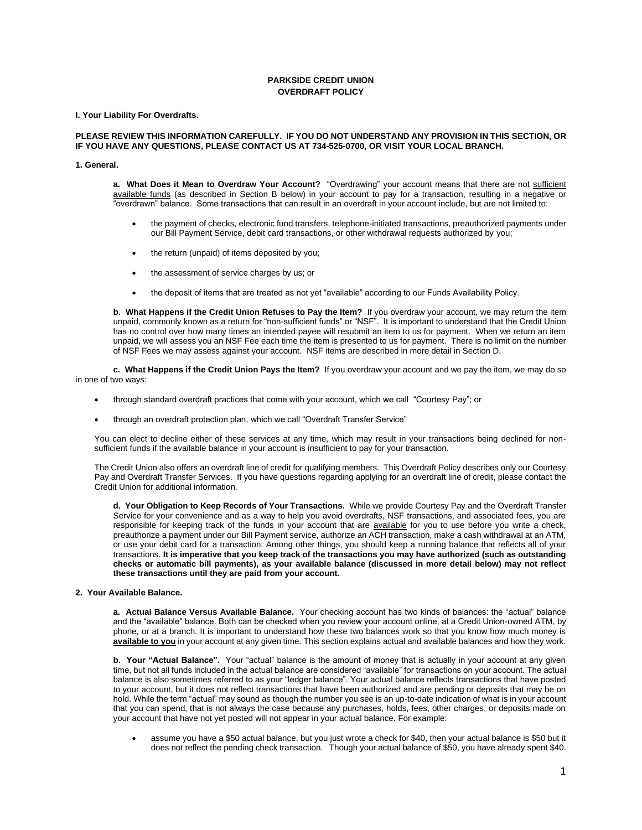# **PARKSIDE CREDIT UNION OVERDRAFT POLICY**

**I. Your Liability For Overdrafts.**

#### **PLEASE REVIEW THIS INFORMATION CAREFULLY. IF YOU DO NOT UNDERSTAND ANY PROVISION IN THIS SECTION, OR IF YOU HAVE ANY QUESTIONS, PLEASE CONTACT US AT 734-525-0700, OR VISIT YOUR LOCAL BRANCH.**

#### **1. General.**

a. What Does it Mean to Overdraw Your Account? "Overdrawing" your account means that there are not sufficient available funds (as described in Section B below) in your account to pay for a transaction, resulting in a negative or "overdrawn" balance. Some transactions that can result in an overdraft in your account include, but are not limited to:

- the payment of checks, electronic fund transfers, telephone-initiated transactions, preauthorized payments under our Bill Payment Service, debit card transactions, or other withdrawal requests authorized by you;
- the return (unpaid) of items deposited by you;
- the assessment of service charges by us; or
- the deposit of items that are treated as not yet "available" according to our Funds Availability Policy.

**b. What Happens if the Credit Union Refuses to Pay the Item?** If you overdraw your account, we may return the item unpaid, commonly known as a return for "non-sufficient funds" or "NSF". It is important to understand that the Credit Union has no control over how many times an intended payee will resubmit an item to us for payment. When we return an item unpaid, we will assess you an NSF Fee each time the item is presented to us for payment. There is no limit on the number of NSF Fees we may assess against your account. NSF items are described in more detail in Section D.

**c. What Happens if the Credit Union Pays the Item?** If you overdraw your account and we pay the item, we may do so in one of two ways:

- through standard overdraft practices that come with your account, which we call "Courtesy Pay"; or
- through an overdraft protection plan, which we call "Overdraft Transfer Service"

You can elect to decline either of these services at any time, which may result in your transactions being declined for nonsufficient funds if the available balance in your account is insufficient to pay for your transaction.

The Credit Union also offers an overdraft line of credit for qualifying members. This Overdraft Policy describes only our Courtesy Pay and Overdraft Transfer Services. If you have questions regarding applying for an overdraft line of credit, please contact the Credit Union for additional information.

**d. Your Obligation to Keep Records of Your Transactions.** While we provide Courtesy Pay and the Overdraft Transfer Service for your convenience and as a way to help you avoid overdrafts, NSF transactions, and associated fees, you are responsible for keeping track of the funds in your account that are available for you to use before you write a check, preauthorize a payment under our Bill Payment service, authorize an ACH transaction, make a cash withdrawal at an ATM, or use your debit card for a transaction. Among other things, you should keep a running balance that reflects all of your transactions. **It is imperative that you keep track of the transactions you may have authorized (such as outstanding checks or automatic bill payments), as your available balance (discussed in more detail below) may not reflect these transactions until they are paid from your account.** 

### **2. Your Available Balance.**

**a. Actual Balance Versus Available Balance.** Your checking account has two kinds of balances: the "actual" balance and the "available" balance. Both can be checked when you review your account online, at a Credit Union-owned ATM, by phone, or at a branch. It is important to understand how these two balances work so that you know how much money is **available to you** in your account at any given time. This section explains actual and available balances and how they work.

**b. Your "Actual Balance".** Your "actual" balance is the amount of money that is actually in your account at any given time, but not all funds included in the actual balance are considered "available" for transactions on your account. The actual balance is also sometimes referred to as your "ledger balance". Your actual balance reflects transactions that have posted to your account, but it does not reflect transactions that have been authorized and are pending or deposits that may be on hold. While the term "actual" may sound as though the number you see is an up-to-date indication of what is in your account that you can spend, that is not always the case because any purchases, holds, fees, other charges, or deposits made on your account that have not yet posted will not appear in your actual balance. For example:

• assume you have a \$50 actual balance, but you just wrote a check for \$40, then your actual balance is \$50 but it does not reflect the pending check transaction. Though your actual balance of \$50, you have already spent \$40.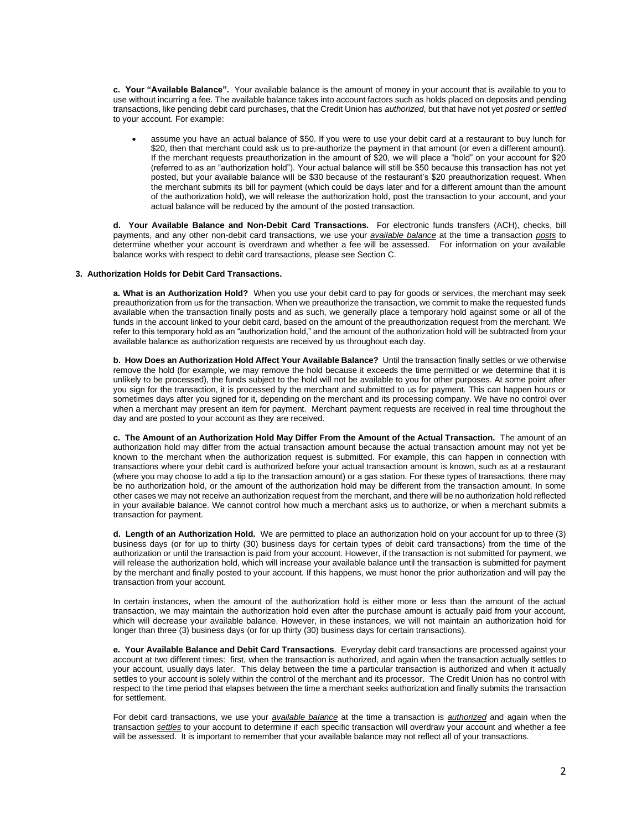**c. Your "Available Balance".** Your available balance is the amount of money in your account that is available to you to use without incurring a fee. The available balance takes into account factors such as holds placed on deposits and pending transactions, like pending debit card purchases, that the Credit Union has *authorized*, but that have not yet *posted or settled* to your account. For example:

• assume you have an actual balance of \$50. If you were to use your debit card at a restaurant to buy lunch for \$20, then that merchant could ask us to pre-authorize the payment in that amount (or even a different amount). If the merchant requests preauthorization in the amount of \$20, we will place a "hold" on your account for \$20 (referred to as an "authorization hold"). Your actual balance will still be \$50 because this transaction has not yet posted, but your available balance will be \$30 because of the restaurant's \$20 preauthorization request. When the merchant submits its bill for payment (which could be days later and for a different amount than the amount of the authorization hold), we will release the authorization hold, post the transaction to your account, and your actual balance will be reduced by the amount of the posted transaction.

**d. Your Available Balance and Non-Debit Card Transactions.** For electronic funds transfers (ACH), checks, bill payments, and any other non-debit card transactions, we use your *available balance* at the time a transaction *posts* to determine whether your account is overdrawn and whether a fee will be assessed. For information on your available balance works with respect to debit card transactions, please see Section C.

#### **3. Authorization Holds for Debit Card Transactions.**

**a. What is an Authorization Hold?** When you use your debit card to pay for goods or services, the merchant may seek preauthorization from us for the transaction. When we preauthorize the transaction, we commit to make the requested funds available when the transaction finally posts and as such, we generally place a temporary hold against some or all of the funds in the account linked to your debit card, based on the amount of the preauthorization request from the merchant. We refer to this temporary hold as an "authorization hold," and the amount of the authorization hold will be subtracted from your available balance as authorization requests are received by us throughout each day.

**b. How Does an Authorization Hold Affect Your Available Balance?** Until the transaction finally settles or we otherwise remove the hold (for example, we may remove the hold because it exceeds the time permitted or we determine that it is unlikely to be processed), the funds subject to the hold will not be available to you for other purposes. At some point after you sign for the transaction, it is processed by the merchant and submitted to us for payment. This can happen hours or sometimes days after you signed for it, depending on the merchant and its processing company. We have no control over when a merchant may present an item for payment. Merchant payment requests are received in real time throughout the day and are posted to your account as they are received.

**c. The Amount of an Authorization Hold May Differ From the Amount of the Actual Transaction.** The amount of an authorization hold may differ from the actual transaction amount because the actual transaction amount may not yet be known to the merchant when the authorization request is submitted. For example, this can happen in connection with transactions where your debit card is authorized before your actual transaction amount is known, such as at a restaurant (where you may choose to add a tip to the transaction amount) or a gas station. For these types of transactions, there may be no authorization hold, or the amount of the authorization hold may be different from the transaction amount. In some other cases we may not receive an authorization request from the merchant, and there will be no authorization hold reflected in your available balance. We cannot control how much a merchant asks us to authorize, or when a merchant submits a transaction for payment.

**d. Length of an Authorization Hold.** We are permitted to place an authorization hold on your account for up to three (3) business days (or for up to thirty (30) business days for certain types of debit card transactions) from the time of the authorization or until the transaction is paid from your account. However, if the transaction is not submitted for payment, we will release the authorization hold, which will increase your available balance until the transaction is submitted for payment by the merchant and finally posted to your account. If this happens, we must honor the prior authorization and will pay the transaction from your account.

In certain instances, when the amount of the authorization hold is either more or less than the amount of the actual transaction, we may maintain the authorization hold even after the purchase amount is actually paid from your account, which will decrease your available balance. However, in these instances, we will not maintain an authorization hold for longer than three (3) business days (or for up thirty (30) business days for certain transactions).

**e. Your Available Balance and Debit Card Transactions**. Everyday debit card transactions are processed against your account at two different times: first, when the transaction is authorized, and again when the transaction actually settles to your account, usually days later. This delay between the time a particular transaction is authorized and when it actually settles to your account is solely within the control of the merchant and its processor. The Credit Union has no control with respect to the time period that elapses between the time a merchant seeks authorization and finally submits the transaction for settlement.

For debit card transactions, we use your *available balance* at the time a transaction is *authorized* and again when the transaction *settles* to your account to determine if each specific transaction will overdraw your account and whether a fee will be assessed. It is important to remember that your available balance may not reflect all of your transactions.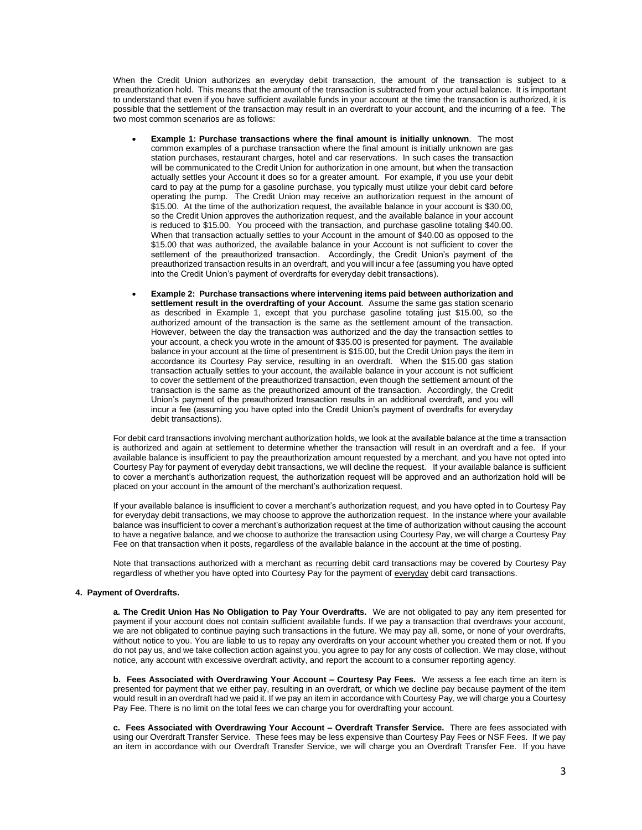When the Credit Union authorizes an everyday debit transaction, the amount of the transaction is subject to a preauthorization hold. This means that the amount of the transaction is subtracted from your actual balance. It is important to understand that even if you have sufficient available funds in your account at the time the transaction is authorized, it is possible that the settlement of the transaction may result in an overdraft to your account, and the incurring of a fee. The two most common scenarios are as follows:

- **Example 1: Purchase transactions where the final amount is initially unknown**. The most common examples of a purchase transaction where the final amount is initially unknown are gas station purchases, restaurant charges, hotel and car reservations. In such cases the transaction will be communicated to the Credit Union for authorization in one amount, but when the transaction actually settles your Account it does so for a greater amount. For example, if you use your debit card to pay at the pump for a gasoline purchase, you typically must utilize your debit card before operating the pump. The Credit Union may receive an authorization request in the amount of \$15.00. At the time of the authorization request, the available balance in your account is \$30.00, so the Credit Union approves the authorization request, and the available balance in your account is reduced to \$15.00. You proceed with the transaction, and purchase gasoline totaling \$40.00. When that transaction actually settles to your Account in the amount of \$40.00 as opposed to the \$15.00 that was authorized, the available balance in your Account is not sufficient to cover the settlement of the preauthorized transaction. Accordingly, the Credit Union's payment of the preauthorized transaction results in an overdraft, and you will incur a fee (assuming you have opted into the Credit Union's payment of overdrafts for everyday debit transactions).
- **Example 2: Purchase transactions where intervening items paid between authorization and settlement result in the overdrafting of your Account**. Assume the same gas station scenario as described in Example 1, except that you purchase gasoline totaling just \$15.00, so the authorized amount of the transaction is the same as the settlement amount of the transaction. However, between the day the transaction was authorized and the day the transaction settles to your account, a check you wrote in the amount of \$35.00 is presented for payment. The available balance in your account at the time of presentment is \$15.00, but the Credit Union pays the item in accordance its Courtesy Pay service, resulting in an overdraft. When the \$15.00 gas station transaction actually settles to your account, the available balance in your account is not sufficient to cover the settlement of the preauthorized transaction, even though the settlement amount of the transaction is the same as the preauthorized amount of the transaction. Accordingly, the Credit Union's payment of the preauthorized transaction results in an additional overdraft, and you will incur a fee (assuming you have opted into the Credit Union's payment of overdrafts for everyday debit transactions).

For debit card transactions involving merchant authorization holds, we look at the available balance at the time a transaction is authorized and again at settlement to determine whether the transaction will result in an overdraft and a fee. If your available balance is insufficient to pay the preauthorization amount requested by a merchant, and you have not opted into Courtesy Pay for payment of everyday debit transactions, we will decline the request. If your available balance is sufficient to cover a merchant's authorization request, the authorization request will be approved and an authorization hold will be placed on your account in the amount of the merchant's authorization request.

If your available balance is insufficient to cover a merchant's authorization request, and you have opted in to Courtesy Pay for everyday debit transactions, we may choose to approve the authorization request. In the instance where your available balance was insufficient to cover a merchant's authorization request at the time of authorization without causing the account to have a negative balance, and we choose to authorize the transaction using Courtesy Pay, we will charge a Courtesy Pay Fee on that transaction when it posts, regardless of the available balance in the account at the time of posting.

Note that transactions authorized with a merchant as recurring debit card transactions may be covered by Courtesy Pay regardless of whether you have opted into Courtesy Pay for the payment of everyday debit card transactions.

### **4. Payment of Overdrafts.**

**a. The Credit Union Has No Obligation to Pay Your Overdrafts.** We are not obligated to pay any item presented for payment if your account does not contain sufficient available funds. If we pay a transaction that overdraws your account, we are not obligated to continue paying such transactions in the future. We may pay all, some, or none of your overdrafts, without notice to you. You are liable to us to repay any overdrafts on your account whether you created them or not. If you do not pay us, and we take collection action against you, you agree to pay for any costs of collection. We may close, without notice, any account with excessive overdraft activity, and report the account to a consumer reporting agency.

**b. Fees Associated with Overdrawing Your Account – Courtesy Pay Fees.** We assess a fee each time an item is presented for payment that we either pay, resulting in an overdraft, or which we decline pay because payment of the item would result in an overdraft had we paid it. If we pay an item in accordance with Courtesy Pay, we will charge you a Courtesy Pay Fee. There is no limit on the total fees we can charge you for overdrafting your account.

**c. Fees Associated with Overdrawing Your Account – Overdraft Transfer Service.** There are fees associated with using our Overdraft Transfer Service. These fees may be less expensive than Courtesy Pay Fees or NSF Fees. If we pay an item in accordance with our Overdraft Transfer Service, we will charge you an Overdraft Transfer Fee. If you have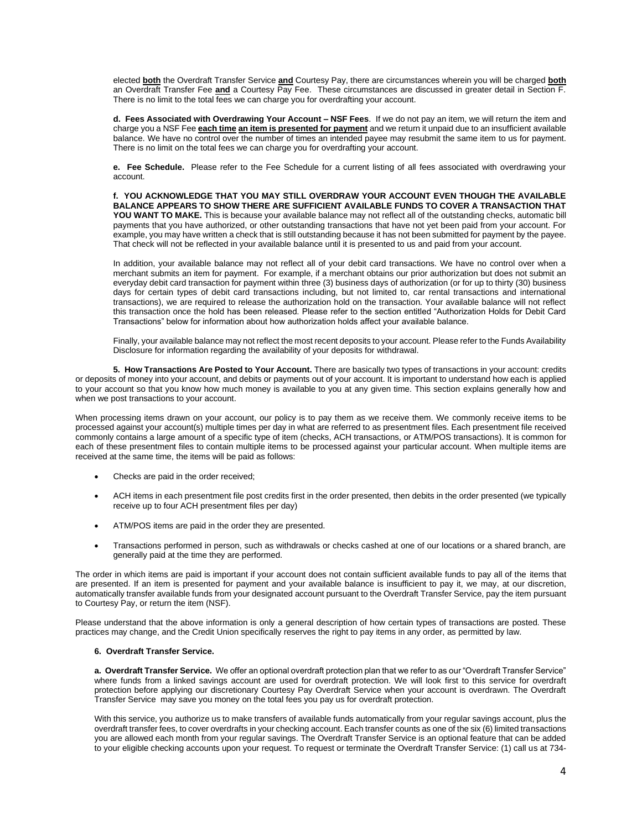elected **both** the Overdraft Transfer Service **and** Courtesy Pay, there are circumstances wherein you will be charged **both** an Overdraft Transfer Fee **and** a Courtesy Pay Fee. These circumstances are discussed in greater detail in Section F. There is no limit to the total fees we can charge you for overdrafting your account.

**d. Fees Associated with Overdrawing Your Account – NSF Fees**. If we do not pay an item, we will return the item and charge you a NSF Fee **each time an item is presented for payment** and we return it unpaid due to an insufficient available balance. We have no control over the number of times an intended payee may resubmit the same item to us for payment. There is no limit on the total fees we can charge you for overdrafting your account.

**e. Fee Schedule.** Please refer to the Fee Schedule for a current listing of all fees associated with overdrawing your account.

**f. YOU ACKNOWLEDGE THAT YOU MAY STILL OVERDRAW YOUR ACCOUNT EVEN THOUGH THE AVAILABLE BALANCE APPEARS TO SHOW THERE ARE SUFFICIENT AVAILABLE FUNDS TO COVER A TRANSACTION THAT YOU WANT TO MAKE.** This is because your available balance may not reflect all of the outstanding checks, automatic bill payments that you have authorized, or other outstanding transactions that have not yet been paid from your account. For example, you may have written a check that is still outstanding because it has not been submitted for payment by the payee. That check will not be reflected in your available balance until it is presented to us and paid from your account.

In addition, your available balance may not reflect all of your debit card transactions. We have no control over when a merchant submits an item for payment. For example, if a merchant obtains our prior authorization but does not submit an everyday debit card transaction for payment within three (3) business days of authorization (or for up to thirty (30) business days for certain types of debit card transactions including, but not limited to, car rental transactions and international transactions), we are required to release the authorization hold on the transaction. Your available balance will not reflect this transaction once the hold has been released. Please refer to the section entitled "Authorization Holds for Debit Card Transactions" below for information about how authorization holds affect your available balance.

Finally, your available balance may not reflect the most recent deposits to your account. Please refer to the Funds Availability Disclosure for information regarding the availability of your deposits for withdrawal.

**5. How Transactions Are Posted to Your Account.** There are basically two types of transactions in your account: credits or deposits of money into your account, and debits or payments out of your account. It is important to understand how each is applied to your account so that you know how much money is available to you at any given time. This section explains generally how and when we post transactions to your account.

When processing items drawn on your account, our policy is to pay them as we receive them. We commonly receive items to be processed against your account(s) multiple times per day in what are referred to as presentment files. Each presentment file received commonly contains a large amount of a specific type of item (checks, ACH transactions, or ATM/POS transactions). It is common for each of these presentment files to contain multiple items to be processed against your particular account. When multiple items are received at the same time, the items will be paid as follows:

- Checks are paid in the order received;
- ACH items in each presentment file post credits first in the order presented, then debits in the order presented (we typically receive up to four ACH presentment files per day)
- ATM/POS items are paid in the order they are presented.
- Transactions performed in person, such as withdrawals or checks cashed at one of our locations or a shared branch, are generally paid at the time they are performed.

The order in which items are paid is important if your account does not contain sufficient available funds to pay all of the items that are presented. If an item is presented for payment and your available balance is insufficient to pay it, we may, at our discretion, automatically transfer available funds from your designated account pursuant to the Overdraft Transfer Service, pay the item pursuant to Courtesy Pay, or return the item (NSF).

Please understand that the above information is only a general description of how certain types of transactions are posted. These practices may change, and the Credit Union specifically reserves the right to pay items in any order, as permitted by law.

## **6. Overdraft Transfer Service.**

**a. Overdraft Transfer Service.** We offer an optional overdraft protection plan that we refer to as our "Overdraft Transfer Service" where funds from a linked savings account are used for overdraft protection. We will look first to this service for overdraft protection before applying our discretionary Courtesy Pay Overdraft Service when your account is overdrawn. The Overdraft Transfer Service may save you money on the total fees you pay us for overdraft protection.

With this service, you authorize us to make transfers of available funds automatically from your regular savings account, plus the overdraft transfer fees, to cover overdrafts in your checking account. Each transfer counts as one of the six (6) limited transactions you are allowed each month from your regular savings. The Overdraft Transfer Service is an optional feature that can be added to your eligible checking accounts upon your request. To request or terminate the Overdraft Transfer Service: (1) call us at 734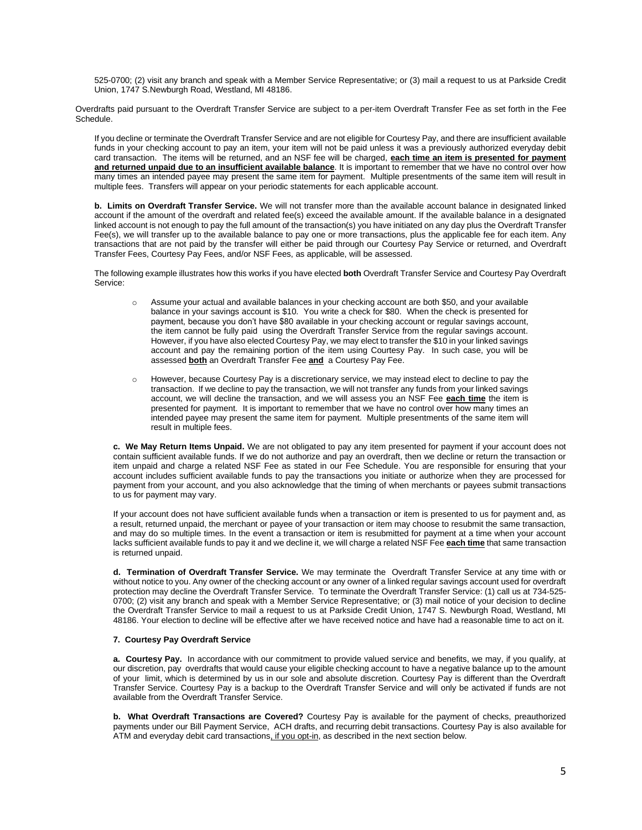525-0700; (2) visit any branch and speak with a Member Service Representative; or (3) mail a request to us at Parkside Credit Union, 1747 S.Newburgh Road, Westland, MI 48186.

Overdrafts paid pursuant to the Overdraft Transfer Service are subject to a per-item Overdraft Transfer Fee as set forth in the Fee Schedule.

If you decline or terminate the Overdraft Transfer Service and are not eligible for Courtesy Pay, and there are insufficient available funds in your checking account to pay an item, your item will not be paid unless it was a previously authorized everyday debit card transaction. The items will be returned, and an NSF fee will be charged, **each time an item is presented for payment and returned unpaid due to an insufficient available balance**. It is important to remember that we have no control over how many times an intended payee may present the same item for payment. Multiple presentments of the same item will result in multiple fees. Transfers will appear on your periodic statements for each applicable account.

**b. Limits on Overdraft Transfer Service.** We will not transfer more than the available account balance in designated linked account if the amount of the overdraft and related fee(s) exceed the available amount. If the available balance in a designated linked account is not enough to pay the full amount of the transaction(s) you have initiated on any day plus the Overdraft Transfer Fee(s), we will transfer up to the available balance to pay one or more transactions, plus the applicable fee for each item. Any transactions that are not paid by the transfer will either be paid through our Courtesy Pay Service or returned, and Overdraft Transfer Fees, Courtesy Pay Fees, and/or NSF Fees, as applicable, will be assessed.

The following example illustrates how this works if you have elected **both** Overdraft Transfer Service and Courtesy Pay Overdraft Service:

- o Assume your actual and available balances in your checking account are both \$50, and your available balance in your savings account is \$10. You write a check for \$80. When the check is presented for payment, because you don't have \$80 available in your checking account or regular savings account, the item cannot be fully paid using the Overdraft Transfer Service from the regular savings account. However, if you have also elected Courtesy Pay, we may elect to transfer the \$10 in your linked savings account and pay the remaining portion of the item using Courtesy Pay. In such case, you will be assessed **both** an Overdraft Transfer Fee **and** a Courtesy Pay Fee.
- o However, because Courtesy Pay is a discretionary service, we may instead elect to decline to pay the transaction. If we decline to pay the transaction, we will not transfer any funds from your linked savings account, we will decline the transaction, and we will assess you an NSF Fee **each time** the item is presented for payment. It is important to remember that we have no control over how many times an intended payee may present the same item for payment. Multiple presentments of the same item will result in multiple fees.

**c. We May Return Items Unpaid.** We are not obligated to pay any item presented for payment if your account does not contain sufficient available funds. If we do not authorize and pay an overdraft, then we decline or return the transaction or item unpaid and charge a related NSF Fee as stated in our Fee Schedule. You are responsible for ensuring that your account includes sufficient available funds to pay the transactions you initiate or authorize when they are processed for payment from your account, and you also acknowledge that the timing of when merchants or payees submit transactions to us for payment may vary.

If your account does not have sufficient available funds when a transaction or item is presented to us for payment and, as a result, returned unpaid, the merchant or payee of your transaction or item may choose to resubmit the same transaction, and may do so multiple times. In the event a transaction or item is resubmitted for payment at a time when your account lacks sufficient available funds to pay it and we decline it, we will charge a related NSF Fee **each time** that same transaction is returned unpaid.

**d. Termination of Overdraft Transfer Service.** We may terminate the Overdraft Transfer Service at any time with or without notice to you. Any owner of the checking account or any owner of a linked regular savings account used for overdraft protection may decline the Overdraft Transfer Service. To terminate the Overdraft Transfer Service: (1) call us at 734-525- 0700; (2) visit any branch and speak with a Member Service Representative; or (3) mail notice of your decision to decline the Overdraft Transfer Service to mail a request to us at Parkside Credit Union, 1747 S. Newburgh Road, Westland, MI 48186. Your election to decline will be effective after we have received notice and have had a reasonable time to act on it.

## **7. Courtesy Pay Overdraft Service**

**a. Courtesy Pay.** In accordance with our commitment to provide valued service and benefits, we may, if you qualify, at our discretion, pay overdrafts that would cause your eligible checking account to have a negative balance up to the amount of your limit, which is determined by us in our sole and absolute discretion. Courtesy Pay is different than the Overdraft Transfer Service. Courtesy Pay is a backup to the Overdraft Transfer Service and will only be activated if funds are not available from the Overdraft Transfer Service.

**b. What Overdraft Transactions are Covered?** Courtesy Pay is available for the payment of checks, preauthorized payments under our Bill Payment Service, ACH drafts, and recurring debit transactions. Courtesy Pay is also available for ATM and everyday debit card transactions, if you opt-in, as described in the next section below.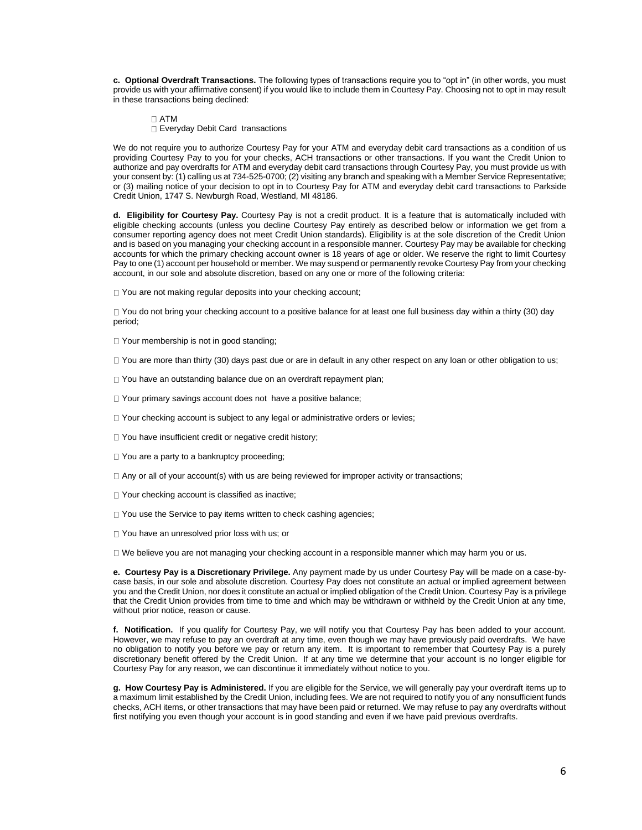**c. Optional Overdraft Transactions.** The following types of transactions require you to "opt in" (in other words, you must provide us with your affirmative consent) if you would like to include them in Courtesy Pay. Choosing not to opt in may result in these transactions being declined:

ATM

Everyday Debit Card transactions

We do not require you to authorize Courtesy Pay for your ATM and everyday debit card transactions as a condition of us providing Courtesy Pay to you for your checks, ACH transactions or other transactions. If you want the Credit Union to authorize and pay overdrafts for ATM and everyday debit card transactions through Courtesy Pay, you must provide us with your consent by: (1) calling us at 734-525-0700; (2) visiting any branch and speaking with a Member Service Representative; or (3) mailing notice of your decision to opt in to Courtesy Pay for ATM and everyday debit card transactions to Parkside Credit Union, 1747 S. Newburgh Road, Westland, MI 48186.

**d. Eligibility for Courtesy Pay.** Courtesy Pay is not a credit product. It is a feature that is automatically included with eligible checking accounts (unless you decline Courtesy Pay entirely as described below or information we get from a consumer reporting agency does not meet Credit Union standards). Eligibility is at the sole discretion of the Credit Union and is based on you managing your checking account in a responsible manner. Courtesy Pay may be available for checking accounts for which the primary checking account owner is 18 years of age or older. We reserve the right to limit Courtesy Pay to one (1) account per household or member. We may suspend or permanently revoke Courtesy Pay from your checking account, in our sole and absolute discretion, based on any one or more of the following criteria:

You are not making regular deposits into your checking account;

You do not bring your checking account to a positive balance for at least one full business day within a thirty (30) day period;

□ Your membership is not in good standing;

 $\Box$  You are more than thirty (30) days past due or are in default in any other respect on any loan or other obligation to us;

- □ You have an outstanding balance due on an overdraft repayment plan;
- □ Your primary savings account does not have a positive balance;
- $\Box$  Your checking account is subject to any legal or administrative orders or levies;
- □ You have insufficient credit or negative credit history;
- □ You are a party to a bankruptcy proceeding;
- $\Box$  Any or all of your account(s) with us are being reviewed for improper activity or transactions;
- □ Your checking account is classified as inactive;
- □ You use the Service to pay items written to check cashing agencies;
- □ You have an unresolved prior loss with us; or

We believe you are not managing your checking account in a responsible manner which may harm you or us.

**e. Courtesy Pay is a Discretionary Privilege.** Any payment made by us under Courtesy Pay will be made on a case-bycase basis, in our sole and absolute discretion. Courtesy Pay does not constitute an actual or implied agreement between you and the Credit Union, nor does it constitute an actual or implied obligation of the Credit Union. Courtesy Pay is a privilege that the Credit Union provides from time to time and which may be withdrawn or withheld by the Credit Union at any time, without prior notice, reason or cause.

**f. Notification.** If you qualify for Courtesy Pay, we will notify you that Courtesy Pay has been added to your account. However, we may refuse to pay an overdraft at any time, even though we may have previously paid overdrafts. We have no obligation to notify you before we pay or return any item. It is important to remember that Courtesy Pay is a purely discretionary benefit offered by the Credit Union. If at any time we determine that your account is no longer eligible for Courtesy Pay for any reason, we can discontinue it immediately without notice to you.

**g. How Courtesy Pay is Administered.** If you are eligible for the Service, we will generally pay your overdraft items up to a maximum limit established by the Credit Union, including fees. We are not required to notify you of any nonsufficient funds checks, ACH items, or other transactions that may have been paid or returned. We may refuse to pay any overdrafts without first notifying you even though your account is in good standing and even if we have paid previous overdrafts.